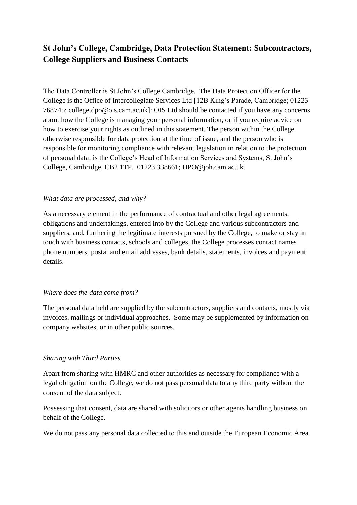# **St John's College, Cambridge, Data Protection Statement: Subcontractors, College Suppliers and Business Contacts**

The Data Controller is St John's College Cambridge. The Data Protection Officer for the College is the Office of Intercollegiate Services Ltd [12B King's Parade, Cambridge; 01223 768745; college.dpo@ois.cam.ac.uk]: OIS Ltd should be contacted if you have any concerns about how the College is managing your personal information, or if you require advice on how to exercise your rights as outlined in this statement. The person within the College otherwise responsible for data protection at the time of issue, and the person who is responsible for monitoring compliance with relevant legislation in relation to the protection of personal data, is the College's Head of Information Services and Systems, St John's College, Cambridge, CB2 1TP. 01223 338661; DPO@joh.cam.ac.uk.

#### *What data are processed, and why?*

As a necessary element in the performance of contractual and other legal agreements, obligations and undertakings, entered into by the College and various subcontractors and suppliers, and, furthering the legitimate interests pursued by the College, to make or stay in touch with business contacts, schools and colleges, the College processes contact names phone numbers, postal and email addresses, bank details, statements, invoices and payment details.

#### *Where does the data come from?*

The personal data held are supplied by the subcontractors, suppliers and contacts, mostly via invoices, mailings or individual approaches. Some may be supplemented by information on company websites, or in other public sources.

## *Sharing with Third Parties*

Apart from sharing with HMRC and other authorities as necessary for compliance with a legal obligation on the College, we do not pass personal data to any third party without the consent of the data subject.

Possessing that consent, data are shared with solicitors or other agents handling business on behalf of the College.

We do not pass any personal data collected to this end outside the European Economic Area.